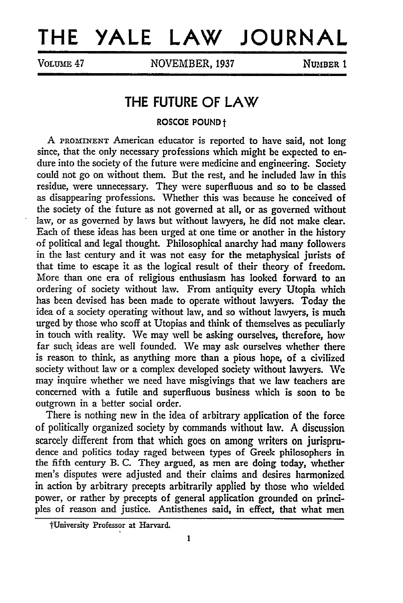## **THE YALE LAW JOURNAL**

VOLUME 47 NOVEMBER, 1937 **NUMBER** 1

## THE **FUTURE** OF LAW

## ROSCOE POUND+

**A PROMINENT** American educator is reported to have said, not long since, that the only necessary professions which might **be** expected to endure into the society of the future were medicine and engineering. Society could not go on without them. But the rest, and he included law in this residue, were unnecessary. They were superfluous and so to be classed as disappearing professions. Whether this was because he conceived of the society of the future as not governed at all, or as governed without law, or as governed **by** laws but without lawyers, he did not make clear. Each of these ideas has been urged at one time or another in the history of political and legal thought. Philosophical anarchy had many followers in the last century and it was not easy for the metaphysical jurists of that time to escape it as the logical result of their theory of freedom. More than one era of religious enthusiasm has looked forward to an ordering of society without law. From antiquity every Utopia which has been devised has been made to operate without lawyers. Today the idea of a society operating without law, and so without lawyers, is much urged **by** those who scoff at Utopias and think of themselves as peculiarly in touch with reality. **We** may well be asking ourselves, therefore, how far such ideas are well founded. We may ask ourselves whether there is reason to think, as anything more than a pious hope, of a civilized society without law or a complex developed society without lawyers. We may inquire whether we need have misgivings that we **law** teachers are concerned with a futile and superfluous business which is soon to be outgrown in a better social order.

There is nothing new in the idea of arbitrary application of the force of politically organized society **by** commands without law. **A** discussion scarcely different from that which goes on among writers on jurisprudence and politics today raged between types of Greek philosophers in the fifth century B. **C.** They argued, as men are doing today, whether men's disputes were adjusted and their claims and desires harmonized in action **by** arbitrary precepts arbitrarily applied **by** those who wielded power, or rather **by** precepts of general application grounded on principles of reason and justice. Antisthenes said, in effect, that what men

tUniversity Professor at Harvard.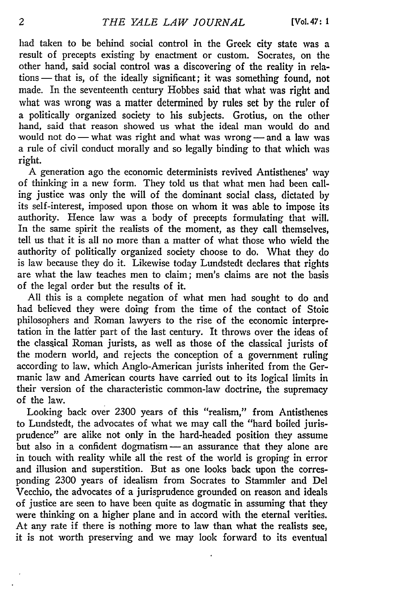had taken to be behind social control in the Greek city state was a result of precepts existing by enactment or custom. Socrates, on the other hand, said social control was a discovering of the reality in relations — that is, of the ideally significant; it was something found, not made. In the seventeenth century Hobbes said that what was right and what was wrong was a matter determined by rules set by the ruler of a politically organized society to his subjects. Grotius, on the other hand, said that reason showed us what the ideal man would do and would not do - what was right and what was wrong - and a law was a rule of civil conduct morally and so legally binding to that which was right.

**A** generation ago the economic determinists revived Antisthenes' way of thinking in a new form. They told us that what men had been calling justice was only the will of the dominant social class, dictated by its self-interest, imposed upon those on whom it was able to impose its authority. Hence law was a body of precepts formulating that will. In the same spirit the realists of the moment, as they call themselves tell us that it is all no more than a matter of what those who wield the authority of politically organized society choose to do. What they do is law because they do it. Likewise today Lundstedt declares that rights are what the law teaches men to claim; men's claims are not the basis of the legal order but the results of it.

All this is a complete negation of what men had sought to do and had believed they were doing from the time of the contact of Stoic philosophers and Roman lawyers to the rise of the economic interpretation in the latter part of the last century. It throws over the ideas of the classical Roman jurists, as well as those of the classical jurists of the modern world, and rejects the conception of a government ruling according to law, which Anglo-American jurists inherited from the Germanic law and American courts have carried out to its logical limits in their version of the characteristic common-law doctrine, the supremacy of the law.

Looking back over 2300 years of this "realism," from Antisthenes to Lundstedt, the advocates of what we may call the "hard boiled jurisprudence" are alike not only in the hard-headed position they assume but also in a confident dogmatism - an assurance that they alone are in touch with reality while all the rest of the world is groping in error and illusion and superstition. But as one looks back upon the corresponding 2300 years of idealism from Socrates to Stammler and Del Vecchio, the advocates of a jurisprudence grounded on reason and ideals of justice are seen to have been quite as dogmatic in assuming that they were thinking on a higher plane and in accord with the eternal verities. At any rate if there is nothing more to law than what the realists see, it is not worth preserving and we may look forward to its eventual

 $\overline{c}$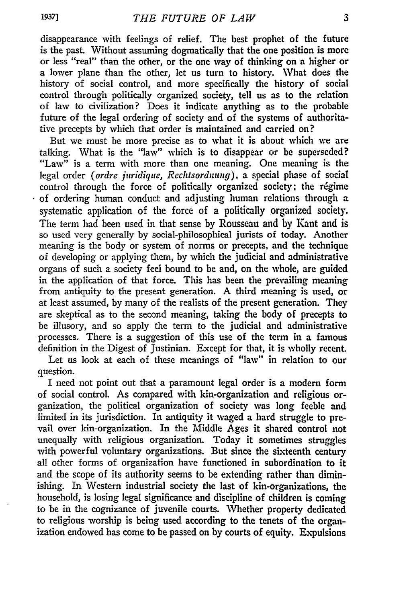disappearance with feelings of relief. The best prophet of the future is the past. Without assuming dogmatically that the one position is more or less "real" than the other, or the one way of thinking on a higher or a lower plane than the other, let us turn to history. What does the history of social control, and more specifically the history of social control through politically organized society, tell us as to the relation of law to civilization? Does it indicate anything as to the probable future of the legal ordering of society and of the systems of authoritative precepts by which that order is maintained and carried on?

But we must be more precise as to what it is about which we are talking. What is the "law" which is to disappear or be superseded? "Law" is a term with more than one meaning. One meaning is the legal order *(ordre juridique, Rechtsorduung),* a special phase of social control through the force of politically organized society; the regime of ordering human conduct and adjusting human relations through a systematic application of the force of a politically organized society. The term had been used in that sense by Rousseau and by Kant and is so used very generally by social-philosophical jurists of today. Another meaning is the body or system of norms or precepts, and the technique of developing or applying them, by which the judicial and administrative organs of such a society feel bound to be and, on the whole, are guided in the application of that force. This has been the prevailing meaning from antiquity to the present generation. **A** third meaning is used, or at least assumed, by many of the realists of the present generation. They are skeptical as to the second meaning, taking the body of precepts to be illusory, and so apply the term to the judicial and administrative processes. There is a suggestion of this use of the term in a famous definition in the Digest of Justinian. Except for that, it is wholly recent.

Let us look at each of these meanings of "law" in relation to our question.

I need not point out that a paramount legal order is a modem form of social control. As compared with kin-organization and religious organization, the political organization of society was long feeble and limited in its jurisdiction. In antiquity it waged a hard struggle to prevail over kin-organization. In the Middle Ages it shared control not unequally with religious organization. Today it sometimes struggles with powerful voluntary organizations. But since the sixteenth century all other forms of organization have functioned in subordination to it and the scope of its authority seems to be extending rather than diminishing. In Western industrial society the last of kin-organizations, the household, is losing legal significance and discipline of children is coming to be in the cognizance of juvenile courts. Whether property dedicated to religious worship is being used according to the tenets of the organization endowed has come to be passed on by courts of equity. Expulsions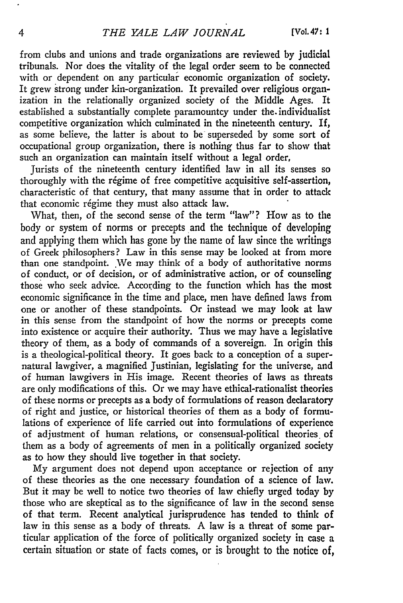from clubs and unions and trade organizations are reviewed **by** judicial tribunals. Nor does the vitality of the legal order seem to be connected with or dependent on any particular economic organization of society. It grew strong under kin-organization. It prevailed over religious organization in the relationally organized society of the Middle Ages. It established a substantially complete paramountcy under the.individualist competitive organization which culminated in the nineteenth century. **If,** as some believe, the latter is about to be superseded **by** some sort of occupational group organization, there is nothing thus far to show that such an organization can maintain itself without a legal order,

Jurists of the nineteenth century identified law in all its senses so thoroughly with the régime of free competitive acquisitive self-assertion, characteristic of that century, that many assume that in order to attack that economic régime they must also attack law.

What, then, of the second sense of the term "law"? How as to the body or system of norms or precepts and the technique of developing and applying them which has gone **by** the name of law since the writings of Greek philosophers? Law in this sense may be looked at from more than one standpoint. We may think of a body of authoritative norms of conduct, or of decision, or of administrative action, or of counseling those who seek advice. According to the function which has the most economic significance in the time and place, men have defined laws from one or another of these standpoints. Or instead we may look at law in this sense from the standpoint of how the norms or precepts come into existence or acquire their authority. Thus we may have a legislative theory of them, as a body of commands of a sovereign. In origin this is a theological-political theory. It goes back to a conception of a supernatural lawgiver, a magnified Justinian, legislating for the universe, and of human lawgivers in His image. Recent theories of laws as threats are only modifications of this. Or we may have ethical-rationalist theories of these norms or precepts as a body of formulations of reason declaratory of right and justice, or historical theories of them as a body of formulations of experience of life carried out into formulations of experience of adjustment of human relations, or consensual-political theories, of them as a body of agreements of men in a politically organized society as to how they should live together in that society.

**My** argument does not depend upon acceptance or rejection of any of these theories as the one necessary foundation of a science of law. But it may be well to notice two theories of law chiefly urged today **by** those who are skeptical as to the significance of law in the second sense of that term. Recent analytical jurisprudence has tended to think of law in this sense as a body of threats. **A** law is a threat of some particular application of the force of politically organized society in case a certain situation or state of facts comes, or is brought to the notice of,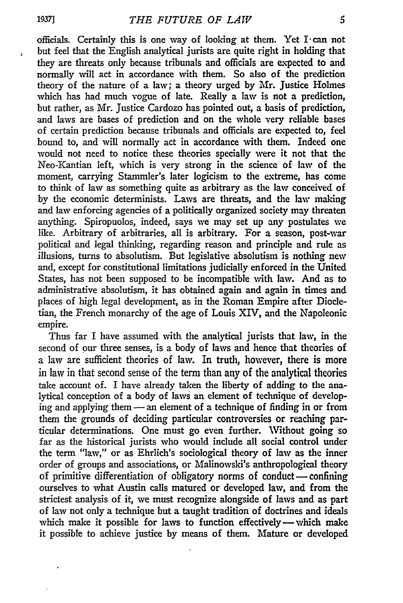$\overline{z}$ 

officials. Certainly this is one way of looking at them. Yet I-can not but feel that the English analytical jurists are quite right in holding that they are threats only because tribunals and officials are expected to and normally will act in accordance with them. So also of the prediction theory of the nature of a law; a theory urged by Mr. Justice Holmes which has had much vogue of late. Really a law is not a prediction, but rather, as Mr. Justice Cardozo has pointed out, a basis of prediction, and laws are bases of prediction and on the whole very reliable bases of certain prediction because tribunals and officials are expected to, feel bound to, and will normally act in accordance with them. Indeed one would not need to notice these theories specially were it not that the Neo-Kantian left, which is very strong in the science of law of the moment, carrying Stammler's later logicism to the extreme, has come to think of law as something quite as arbitrary as the law conceived of **by** the economic determinists. Laws are threats, and the law making and law enforcing agencies of a politically organized society may threaten anything. Spiropuolos, indeed, says we may set up any postulates we like. Arbitrary of arbitraries, all is arbitrary. For a season, post-war political and legal thinking, regarding reason and principle and rule as illusions, turns to absolutism. But legislative absolutism is nothing new and, except for constitutional limitations judicially enforced in the United States, has not been supposed to be incompatible with law. And as to administrative absolutism, it has obtained again and again in times and places of high legal development, as in the Roman Empire after Diodetian, the French monarchy of the age of Louis XIV, and the Napoleonic empire.

Thus far I have assumed with the analytical jurists that law, in the second of our three senses, is a body of laws and hence that theories of a law are sufficient theories of law. In truth, however, there is more in law in that second sense of the term than any of the analytical theories take account of. I have already taken the liberty of adding to the analytical conception of a body of laws an element of technique of developing and applying them **-** an element of a technique of finding in or from them the grounds of deciding particular controversies or reaching particular determinations. One must go even further. Vithout going so far as the historical jurists who would include all social control under the term "law," or as Ehrlich's sociological theory of law as the inner order of groups and associations, or Malinowski's anthropological theory of primitive differentiation of obligatory norms of conduct - confining ourselves to what Austin calls matured or developed law, and from the strictest analysis of it, we must recognize alongside of laws and as part of law not only a technique but a taught tradition of doctrines and ideals which make it possible for laws to function effectively -- which make it possible to achieve justice **by** means of them. Mature or developed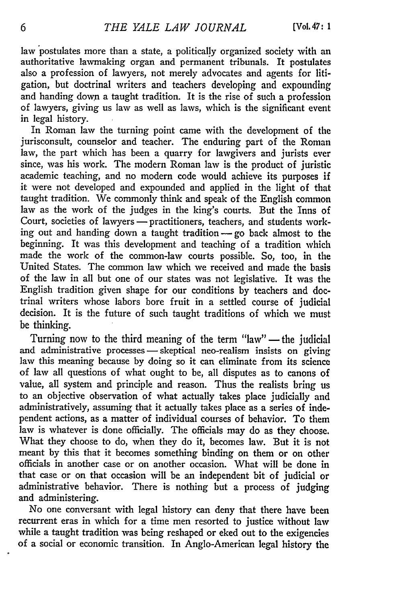law postulates more than a state, a politically organized society with an authoritative lawmaking organ and permanent tribunals. It postulates also a profession of lawyers, not merely advocates and agents for litigation, but doctrinal writers and teachers developing and expounding and handing down a taught tradition. It is the rise of such a profession of lawyers, giving us law as well as laws, which is the significant event in legal history.

In Roman law the turning point came with the development of the jurisconsult, counselor and teacher. The enduring part of the Roman law, the part which has been a quarry for lawgivers and jurists ever since, was his work. The modern Roman law is the product of juristic academic teaching, and no modern code would achieve its purposes if it were not developed and expounded and applied in the light of that taught tradition. We commonly think and speak of the English common law as the work of the judges in the king's courts. But the Inns of Court, societies of lawyers- practitioners, teachers, and students working out and handing down a taught tradition- go back almost to the beginning. It was this development and teaching of a tradition which made the work of the common-law courts possible. So, too, in the United States. The common law which we received and made the basis of the law in all but one of our states was not legislative. It was the English tradition given shape for our conditions by teachers and doctrinal writers whose labors bore fruit in a settled course of judicial decision. It is the future of such taught traditions of which we must be thinking.

Turning now to the third meaning of the term "law" - the judicial and administrative processes - skeptical neo-realism insists on giving law this meaning because by doing so it can eliminate from its science of law all questions of what ought to be, all disputes as to canons of value, all system and principle and reason. Thus the realists bring us to an objective observation of what actually takes place judicially and administratively, assuming that it actually takes place as a series of independent actions, as a matter of individual courses of behavior. To them law is whatever is done officially. The officials may do as they choose. What they choose to do, when they do it, becomes law. But it is not meant by this that it becomes something binding on them or on other officials in another case or on another occasion. What will be done in that case or on that occasion will be an independent bit of judicial or administrative behavior. There is nothing but a process of judging and administering.

No one conversant with legal history can deny that there have been recurrent eras in which for a time men resorted to justice without law while a taught tradition was being reshaped or eked out to the exigencies of a social or economic transition. In Anglo-American legal history the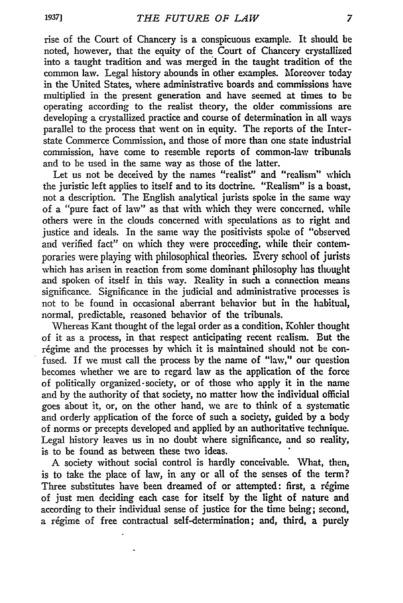rise of the Court of Chancery is a conspicuous example. It should be noted, however, that the equity of the Court of Chancery crystallized into a taught tradition and was merged in the taught tradition of the common law. Legal history abounds in other examples. Moreover today in the United States, where administrative boards and commissions have multiplied in the present generation and have seemed at times to be operating according to the realist theory, the older commissions are developing a crystallized practice and course of determination in all ways parallel to the process that went on in equity. The reports of the Interstate Commerce Commission, and those of more than one state industrial commission, have come to resemble reports of common-law tribunals and to be used in the same way as those of the latter.

Let us not be deceived by the names "realist" and "realism" which the juristic left applies to itself and to its doctrine. "Realism" is a boast, not a description. The English analytical jurists spoke in the same way of a "pure fact of law" as that with which they were concerned, while others were in the clouds concerned with speculations as to right and justice and ideals. In the same way the positivists spoke of "observed and verified fact" on which they were proceeding, while their contemporaries were playing with philosophical theories. Every school of jurists which has arisen in reaction from some dominant philosophy has thought and spoken of itself in this way. Reality in such a connection means significance. Significance in the judicial and administrative processes is not to be found in occasional aberrant behavior but in the habitual, normal, predictable, reasoned behavior of the tribunals.

Whereas Kant thought of the legal order as a condition, Kohler thought of it as a process, in that respect anticipating recent realism. But the régime and the processes by which it is maintained should not be confused. If we must call the process by the name of "law," our question becomes whether we are to regard law as the application of the force of politically organized -society, or of those who apply it in the name and by the authority of that society, no matter how the individual official goes about it, or, on the other hand, we are to think of a systematic and orderly application of the force of such a society, guided by a body of norms or precepts developed and applied by an authoritative technique. Legal history leaves us in no doubt where significance, and so reality, is to be found as between these two ideas.

**A** society without social control is hardly conceivable. What, then, is to take the place of law, in any or all of the senses of the term? Three substitutes have been dreamed of or attempted: first, a régime of just men deciding each case for itself by the light of nature and according to their individual sense of justice for the time being; second, a régime of free contractual self-determination; and, third, a purely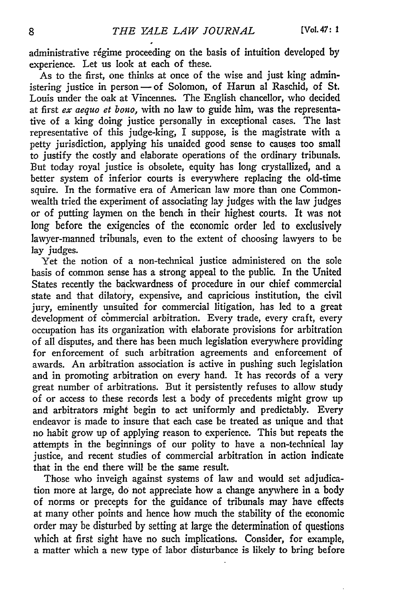administrative régime proceeding on the basis of intuition developed by experience. Let us look at each of these.

As to the first, one thinks at once of the wise and just king administering justice in person - of Solomon, of Harun al Raschid, of St. Louis under the oak at Vincennes. The English chancellor, who decided at first *ex aequo et bono,* with no law to guide him, was the representative of a king doing justice personally in exceptional cases. The last representative of this judge-king, I suppose, is the magistrate with a petty jurisdiction, applying his unaided good sense to causes too small to justify the costly and elaborate operations of the ordinary tribunals. But today royal justice is obsolete, equity has long crystallized, and a better system of inferior courts is everywhere replacing the old-time squire. In the formative era of American law more than one Commonwealth tried the experiment of associating lay judges with the law judges or of putting laymen on the bench in their highest courts. It was not long before the exigencies of the economic order led to exclusively lawyer-manned tribunals, even to the extent of choosing lawyers to be lay judges.

Yet the notion of a non-technical justice administered on the sole basis of common sense has a strong appeal to the public. In the United States recently the backwardness of procedure in our chief commercial state and that dilatory, expensive, and capricious institution, the civil jury, eminently unsuited for commercial litigation, has led to a great development of commercial arbitration. Every trade, every craft, every occupation has its organization with elaborate provisions for arbitration of all disputes, and there has been much legislation everywhere providing for enforcement of such arbitration agreements and enforcement of awards. An arbitration association is active in pushing such legislation and in promoting arbitration on every hand. It has records of a very great number of arbitrations. But it persistently refuses to allow study of or access to these records lest a body of precedents might grow up and arbitrators might begin to act uniformly and predictably. Every endeavor is made to insure that each case be treated as unique and that no habit grow up of applying reason to experience. This but repeats the attempts in the beginnings of our polity to have a non-technical lay justice, and recent studies of commercial arbitration in action indicate that in the end there will be the same result.

Those who inveigh against systems of law and would set adjudication more at large, do not appreciate how a change anywhere in a body of norms or precepts for the guidance of tribunals may have effects at many other points and hence how much the stability of the economic order may be disturbed by setting at large the determination of questions which at first sight have no such implications. Consider, for example, a matter which a new type of labor disturbance is likely to bring before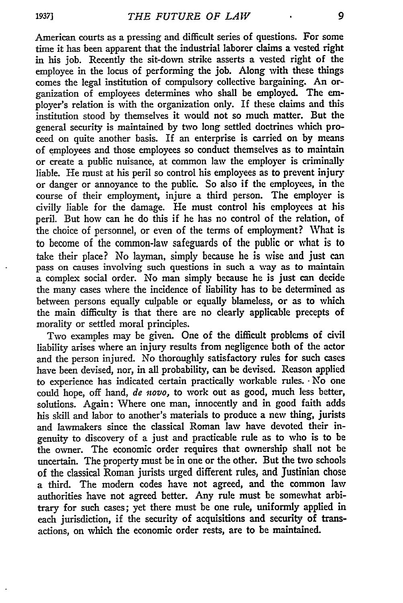American courts as a pressing and difficult series of questions. For some time it has been apparent that the industrial laborer claims a vested right in his job. Recently the sit-down strike asserts a vested right of the employee in the locus of performing the job. Along with these things comes the legal institution of compulsory collective bargaining. An organization of employees determines who shall be employed. The employer's relation is with the organization only. If these claims and this institution stood by themselves it would not so much matter. But the general security is maintained by two long settled doctrines which proceed on quite another basis. If an enterprise is carried on by means of employees and those employees so conduct themselves as to maintain or create a public nuisance, at common law the employer is criminally liable. He must at his peril so control his employees as to prevent injury or danger or annoyance to the public. So also if the employees, in the course of their employment, injure a third person. The employer is civilly liable for the damage. He must control his employees at his peril. But how can he do this if he has no control of the relation, of the choice of personnel, or even of the terms of employment? What is to become of the common-law safeguards of the public or what is to take their place? No layman, simply because he is wise and just can pass on causes involving such questions in such a way as to maintain a complex social order. No man simply because he is just can decide the many cases where the incidence of liability has to be determined as between persons equally culpable or equally blameless, or as to which the main difficulty is that there are no clearly applicable precepts of morality or settled moral principles.

Two examples may be given. One of the difficult problems of civil liability arises where an injury results from negligence both of the actor and the person injured. No thoroughly satisfactory rules for such cases have been devised, nor, in all probability, can be devised. Reason applied to experience has indicated certain practically workable rules. **-**No one could hope, off hand, *de novo*, to work out as good, much less better, solutions. Again: Where one man, innocently and in good faith adds his skill and labor to another's materials to produce a new thing, jurists and lawmakers since the classical Roman law have devoted their ingenuity to discovery of a just and practicable rule as to who is to be the owner. The economic order requires that ownership shall not be uncertain. The property must be in one or the other. But the two schools of the classical Roman jurists urged different rules, and Justinian chose a third. The modem codes have not agreed, and the common law authorities have not agreed better. Any rule must be somewhat arbitrary for such cases; yet there must be one rule, uniformly applied in each jurisdiction, if the security of acquisitions and security of transactions, on which the economic order rests, are to be maintained.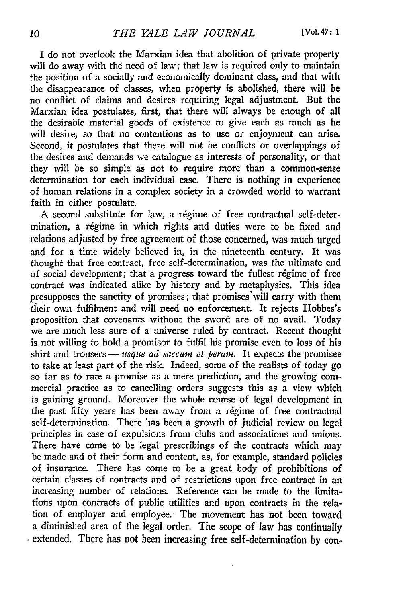I do not overlook the Marxian idea that abolition of private property will do away with the need of law; that law is required only to maintain the position of a socially and economically dominant class, and that with the disappearance of classes, when property is abolished, there will be no conflict of claims and desires requiring legal adjustment. But the Marxian idea postulates, first, that there will always be enough of all the desirable material goods of existence to give each as much as he will desire, so that no contentions as to use or enjoyment can arise. Second, it postulates that there will not be conflicts or overlappings of the desires and demands we catalogue as interests of personality, or that they will be so simple as not to require more than a common-sense determination for each individual case. There is nothing in experience of human relations in a complex society in a crowded world to warrant faith in either postulate.

**A** second substitute for law, a regime of free contractual self-determination, a regime in which rights and duties were to be fixed and relations adjusted **by** free agreement of those concerned, was much urged and for a time widely believed in, in the nineteenth century. It was thought that free contract, free self-determination, was the ultimate end of social development; that a progress toward the fullest régime of free contract was indicated alike **by** history and **by** metaphysics. This idea presupposes the sanctity of promises; that promises'will carry with them their own fulfilment and will need no enforcement. It rejects Hobbes's proposition that covenants without the sword are of no avail. Today we are much less sure of a universe ruled **by** contract. Recent thought is not willing to hold a promisor to fulfil his promise even to loss of his shirt and trousers **-** *usque ad saccum et peran.* It expects the promisee to take at least part of the risk. Indeed, some of the realists of today go so far as to rate a promise as a mere prediction, and the growing commercial practice as to cancelling orders suggests this as a view which is gaining ground. Moreover the whole course of legal development in the past fifty years has been away from a regime of free contractual self-determination. There has been a growth of judicial review on legal principles in case of expulsions from clubs and associations and unions. There have come to be legal prescribings of the contracts which may be made and of their form and content, as, for example, standard policies of insurance. There has come to be a great body of prohibitions of certain classes of contracts and of restrictions upon free contract in an increasing number of relations. Reference can be made to the limitations upon contracts of public utilities and upon contracts in the relation of employer and employee. The movement has not been toward a diminished area of the legal order. The scope of law has continually extended. There has not been increasing free self-determination by con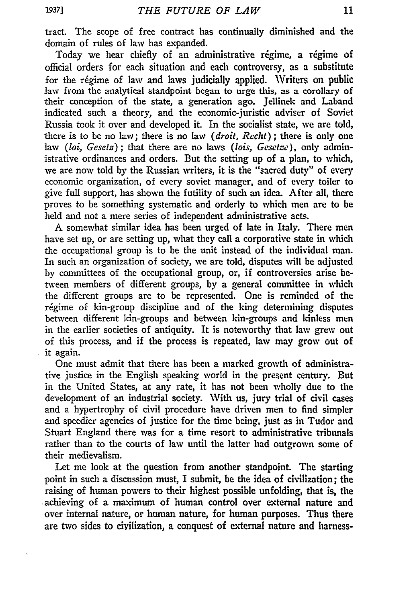tract. The scope of free contract has continually diminished and the domain of rules of law has expanded.

Today we hear chiefly of an administrative régime, a régime of official orders for each situation and each controversy, as a substitute for the régime of law and laws judicially applied. Writers on public law from the analytical standpoint began to urge this, as a corollary of their conception of the state, a generation ago. Jellinek and Laband indicated such a theory, and the economic-juristic adviser of Soviet Russia took it over and developed it. In the socialist state, we are told, there is to be no law; there is no law *(droit, Recht)* ; there is only one law *(loi, Gesetz);* that there are no laws *(lois, Gesetzae),* only administrative ordinances and orders. But the setting up of a plan, to which, we are now told by the Russian writers, it is the "sacred duty" of every economic organization, of every soviet manager, and of every toiler to give full support, has shown the futility of such an idea. After all, there proves to be something systematic and orderly to which men are to be held and not a mere series of independent administrative acts.

**A** somewhat similar idea has been urged of late in Italy. There men have set up, or are setting up, what they call a corporative state in which the occupational group is to be the unit instead of the individual man. In such an organization of society, we are told, disputes will be adjusted by committees of the occupational group, or, if controversies arise between members of different groups, by a general committee in which the different groups are to be represented. One is reminded of the régime of kin-group discipline and of the king determining disputes between different kin-groups and between kin-groups and kinless men in the earlier societies of antiquity. It is noteworthy that law grew out of this process, and if the process is repeated, law may grow out of it again.

One must admit that there has been a marked growth of administrative justice in the English speaking world in the present century. But in the United States, at any rate, it has not been wholly due to the development of an industrial society. With us, jury trial of civil cases and a hypertrophy of civil procedure have driven men to find simpler and speedier agencies of justice for the time being, just as in Tudor and Stuart England there was for a time resort to administrative tribunals rather than to the courts of law until the latter had outgrown some of their medievalism.

Let me look at the question from another standpoint. The starting point in such a discussion must, I submit, be the idea of civilization; the raising of human powers to their highest possible unfolding, that is, the achieving of a maximum of human control over external nature and over internal nature, or human nature, for human purposes. Thus there are two sides to civilization, a conquest of external nature and harness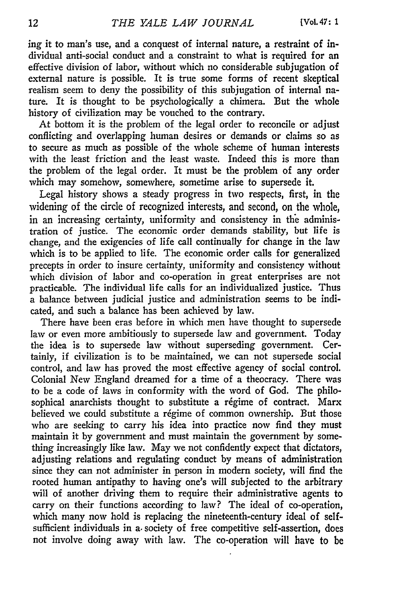ing it to man's use, and a conquest of internal nature, a restraint of individual anti-social conduct and a constraint to what is required for an effective division of labor, without which no considerable subjugation of external nature is possible. It is true some forms of recent skeptical realism seem to deny the possibility of this subjugation of internal nature. It is thought to be psychologically a chimera. But the whole history of civilization may be vouched to the contrary.

At bottom it is the problem of the legal order to reconcile or adjust conflicting and overlapping human desires or demands or claims so as to secure as much as possible of the whole scheme of human interests with the least friction and the least waste. Indeed this is more than the problem of the legal order. It must be the problem of any order which may somehow, somewhere, sometime arise to supersede it.

Legal history shows a steady progress in two respects, first, in the widening of the circle of recognized interests, and second, on the whole, in an increasing certainty, uniformity and consistency in the administration of justice. The economic order demands stability, but life is change, and the exigencies of life call continually for change in the law which is to be applied to life. The economic order calls for generalized precepts in order to insure certainty, uniformity and consistency without which division of labor and co-operation in great enterprises are not practicable. The individual life calls for an individualized justice. Thus a balance between judicial justice and administration seems to be indicated, and such a balance has been achieved **by** law.

There have been eras before in which men have thought to supersede law or even more ambitiously to supersede **law** and government. Today the idea is to supersede law without superseding government. Certainly, if civilization is to be maintained, we can not supersede social control, and law has proved the most effective agency of social control. Colonial New England dreamed for a time of a theocracy. There was to be a code of laws in conformity with the word of God. The philosophical anarchists thought to substitute a regime of contract. Marx believed we could substitute a régime of common ownership. But those who are seeking to carry his idea into practice now find they must maintain it **by** government and must maintain the government **by** something increasingly like law. May we not confidently expect that dictators, adjusting relations and regulating conduct by means of administration since they can not administer in person in modern society, will find the rooted human antipathy to having one's will subjected to the arbitrary will of another driving them to require their administrative agents to carry on their functions according to law? The ideal of co-operation, which many now hold is replacing the nineteenth-century ideal of selfsufficient individuals in a. society of free competitive self-assertion, does not involve doing away with law. The co-operation will have to be